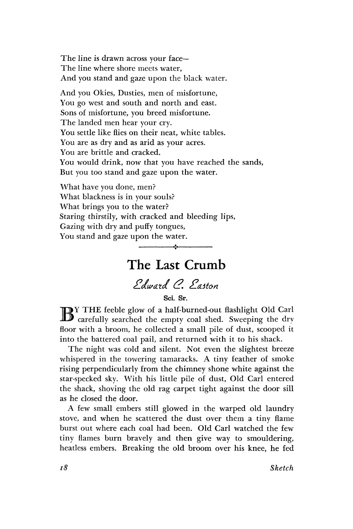The line is drawn across your face— The line where shore meets water, And you stand and gaze upon the black water.

And you Okies, Dusties, men of misfortune, You go west and south and north and east. Sons of misfortune, you breed misfortune. The landed men hear your cry. You settle like flies on their neat, white tables. You are as dry and as arid as your acres. You are brittle and cracked. You would drink, now that you have reached the sands, But you too stand and gaze upon the water.

What have you done, men? What blackness is in your souls? What brings you to the water? Staring thirstily, with cracked and bleeding lips, Gazing with dry and puffy tongues, You stand and gaze upon the water.

## The Last Crumb

v

*dldwdta. (2. dla.5ton* 

**Sci. Sr.** 

BY THE feeble glow of a half-burned-out flashlight Old Carl carefully searched the empty coal shed. Sweeping the dry Y THE feeble glow of a half-burned-out flashlight Old Carl floor with a broom, he collected a small pile of dust, scooped it into the battered coal pail, and returned with it to his shack.

The night was cold and silent. Not even the slightest breeze whispered in the towering tamaracks. A tiny feather of smoke rising perpendicularly from the chimney shone white against the star-specked sky. With his little pile of dust, Old Carl entered the shack, shoving the old rag carpet tight against the door sill as he closed the door.

A few small embers still glowed in the warped old laundry stove, and when he scattered the dust over them a tiny flame burst out where each coal had been. Old Carl watched the few tiny flames burn bravely and then give way to smouldering, heatless embers. Breaking the old broom over his knee, he fed